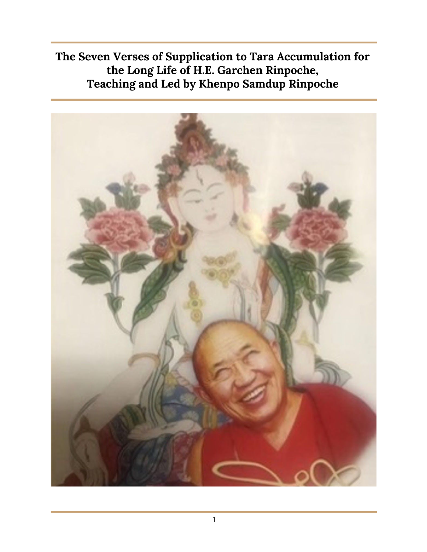**The Seven Verses of Supplication to Tara Accumulation for the Long Life of H.E. Garchen Rinpoche, Teaching and Led by Khenpo Samdup Rinpoche**

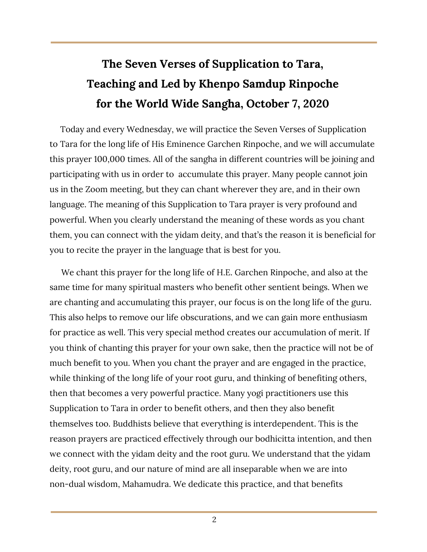# **The Seven Verses of Supplication to Tara, Teaching and Led by Khenpo Samdup Rinpoche for the World Wide Sangha, October 7, 2020**

Today and every Wednesday, we will practice the Seven Verses of Supplication to Tara for the long life of His Eminence Garchen Rinpoche, and we will accumulate this prayer 100,000 times. All of the sangha in different countries will be joining and participating with us in order to accumulate this prayer. Many people cannot join us in the Zoom meeting, but they can chant wherever they are, and in their own language. The meaning of this Supplication to Tara prayer is very profound and powerful. When you clearly understand the meaning of these words as you chant them, you can connect with the yidam deity, and that's the reason it is beneficial for you to recite the prayer in the language that is best for you.

We chant this prayer for the long life of H.E. Garchen Rinpoche, and also at the same time for many spiritual masters who benefit other sentient beings. When we are chanting and accumulating this prayer, our focus is on the long life of the guru. This also helps to remove our life obscurations, and we can gain more enthusiasm for practice as well. This very special method creates our accumulation of merit. If you think of chanting this prayer for your own sake, then the practice will not be of much benefit to you. When you chant the prayer and are engaged in the practice, while thinking of the long life of your root guru, and thinking of benefiting others, then that becomes a very powerful practice. Many yogi practitioners use this Supplication to Tara in order to benefit others, and then they also benefit themselves too. Buddhists believe that everything is interdependent. This is the reason prayers are practiced effectively through our bodhicitta intention, and then we connect with the yidam deity and the root guru. We understand that the yidam deity, root guru, and our nature of mind are all inseparable when we are into non-dual wisdom, Mahamudra. We dedicate this practice, and that benefits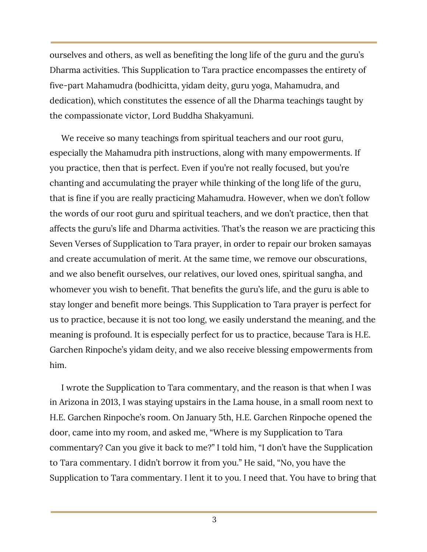ourselves and others, as well as benefiting the long life of the guru and the guru's Dharma activities. This Supplication to Tara practice encompasses the entirety of five-part Mahamudra (bodhicitta, yidam deity, guru yoga, Mahamudra, and dedication), which constitutes the essence of all the Dharma teachings taught by the compassionate victor, Lord Buddha Shakyamuni.

We receive so many teachings from spiritual teachers and our root guru, especially the Mahamudra pith instructions, along with many empowerments. If you practice, then that is perfect. Even if you're not really focused, but you're chanting and accumulating the prayer while thinking of the long life of the guru, that is fine if you are really practicing Mahamudra. However, when we don't follow the words of our root guru and spiritual teachers, and we don't practice, then that affects the guru's life and Dharma activities. That's the reason we are practicing this Seven Verses of Supplication to Tara prayer, in order to repair our broken samayas and create accumulation of merit. At the same time, we remove our obscurations, and we also benefit ourselves, our relatives, our loved ones, spiritual sangha, and whomever you wish to benefit. That benefits the guru's life, and the guru is able to stay longer and benefit more beings. This Supplication to Tara prayer is perfect for us to practice, because it is not too long, we easily understand the meaning, and the meaning is profound. It is especially perfect for us to practice, because Tara is H.E. Garchen Rinpoche's yidam deity, and we also receive blessing empowerments from him.

I wrote the Supplication to Tara commentary, and the reason is that when I was in Arizona in 2013, I was staying upstairs in the Lama house, in a small room next to H.E. Garchen Rinpoche's room. On January 5th, H.E. Garchen Rinpoche opened the door, came into my room, and asked me, "Where is my Supplication to Tara commentary? Can you give it back to me?" I told him, "I don't have the Supplication to Tara commentary. I didn't borrow it from you." He said, "No, you have the Supplication to Tara commentary. I lent it to you. I need that. You have to bring that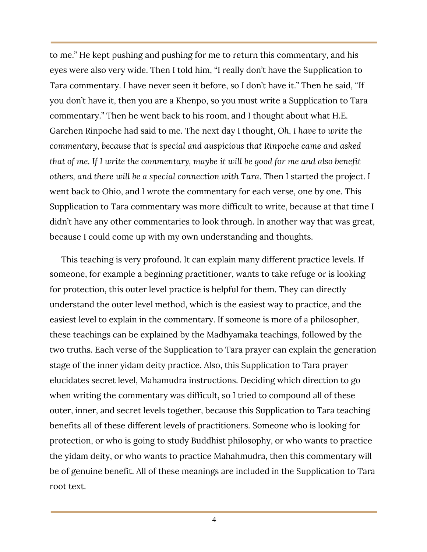to me." He kept pushing and pushing for me to return this commentary, and his eyes were also very wide. Then I told him, "I really don't have the Supplication to Tara commentary. I have never seen it before, so I don't have it." Then he said, "If you don't have it, then you are a Khenpo, so you must write a Supplication to Tara commentary." Then he went back to his room, and I thought about what H.E. Garchen Rinpoche had said to me. The next day I thought, *Oh, I have to write the commentary, because that is special and auspicious that Rinpoche came and asked that of me. If I write the commentary, maybe it will be good for me and also benefit others, and there will be a special connection with Tara*. Then I started the project. I went back to Ohio, and I wrote the commentary for each verse, one by one. This Supplication to Tara commentary was more difficult to write, because at that time I didn't have any other commentaries to look through. In another way that was great, because I could come up with my own understanding and thoughts.

This teaching is very profound. It can explain many different practice levels. If someone, for example a beginning practitioner, wants to take refuge or is looking for protection, this outer level practice is helpful for them. They can directly understand the outer level method, which is the easiest way to practice, and the easiest level to explain in the commentary. If someone is more of a philosopher, these teachings can be explained by the Madhyamaka teachings, followed by the two truths. Each verse of the Supplication to Tara prayer can explain the generation stage of the inner yidam deity practice. Also, this Supplication to Tara prayer elucidates secret level, Mahamudra instructions. Deciding which direction to go when writing the commentary was difficult, so I tried to compound all of these outer, inner, and secret levels together, because this Supplication to Tara teaching benefits all of these different levels of practitioners. Someone who is looking for protection, or who is going to study Buddhist philosophy, or who wants to practice the yidam deity, or who wants to practice Mahahmudra, then this commentary will be of genuine benefit. All of these meanings are included in the Supplication to Tara root text.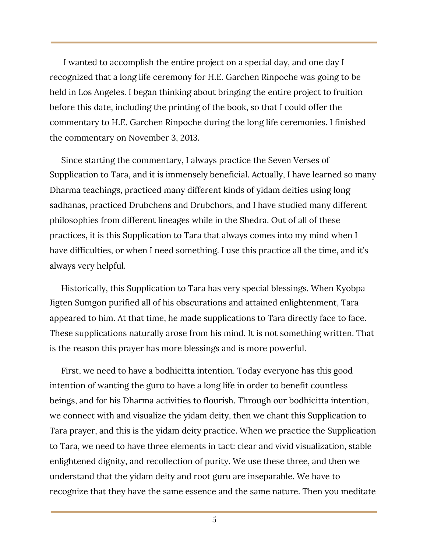I wanted to accomplish the entire project on a special day, and one day I recognized that a long life ceremony for H.E. Garchen Rinpoche was going to be held in Los Angeles. I began thinking about bringing the entire project to fruition before this date, including the printing of the book, so that I could offer the commentary to H.E. Garchen Rinpoche during the long life ceremonies. I finished the commentary on November 3, 2013.

Since starting the commentary, I always practice the Seven Verses of Supplication to Tara, and it is immensely beneficial. Actually, I have learned so many Dharma teachings, practiced many different kinds of yidam deities using long sadhanas, practiced Drubchens and Drubchors, and I have studied many different philosophies from different lineages while in the Shedra. Out of all of these practices, it is this Supplication to Tara that always comes into my mind when I have difficulties, or when I need something. I use this practice all the time, and it's always very helpful.

Historically, this Supplication to Tara has very special blessings. When Kyobpa Jigten Sumgon purified all of his obscurations and attained enlightenment, Tara appeared to him. At that time, he made supplications to Tara directly face to face. These supplications naturally arose from his mind. It is not something written. That is the reason this prayer has more blessings and is more powerful.

First, we need to have a bodhicitta intention. Today everyone has this good intention of wanting the guru to have a long life in order to benefit countless beings, and for his Dharma activities to flourish. Through our bodhicitta intention, we connect with and visualize the yidam deity, then we chant this Supplication to Tara prayer, and this is the yidam deity practice. When we practice the Supplication to Tara, we need to have three elements in tact: clear and vivid visualization, stable enlightened dignity, and recollection of purity. We use these three, and then we understand that the yidam deity and root guru are inseparable. We have to recognize that they have the same essence and the same nature. Then you meditate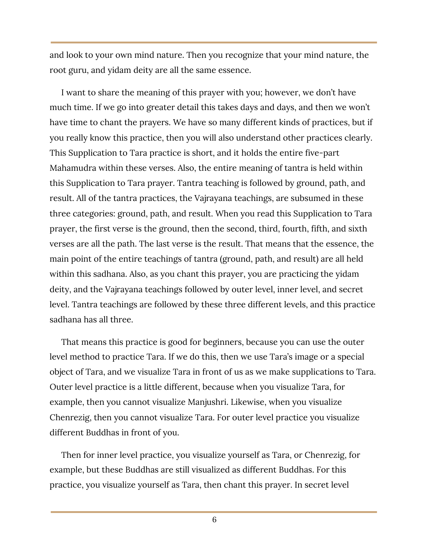and look to your own mind nature. Then you recognize that your mind nature, the root guru, and yidam deity are all the same essence.

I want to share the meaning of this prayer with you; however, we don't have much time. If we go into greater detail this takes days and days, and then we won't have time to chant the prayers. We have so many different kinds of practices, but if you really know this practice, then you will also understand other practices clearly. This Supplication to Tara practice is short, and it holds the entire five-part Mahamudra within these verses. Also, the entire meaning of tantra is held within this Supplication to Tara prayer. Tantra teaching is followed by ground, path, and result. All of the tantra practices, the Vajrayana teachings, are subsumed in these three categories: ground, path, and result. When you read this Supplication to Tara prayer, the first verse is the ground, then the second, third, fourth, fifth, and sixth verses are all the path. The last verse is the result. That means that the essence, the main point of the entire teachings of tantra (ground, path, and result) are all held within this sadhana. Also, as you chant this prayer, you are practicing the yidam deity, and the Vajrayana teachings followed by outer level, inner level, and secret level. Tantra teachings are followed by these three different levels, and this practice sadhana has all three.

That means this practice is good for beginners, because you can use the outer level method to practice Tara. If we do this, then we use Tara's image or a special object of Tara, and we visualize Tara in front of us as we make supplications to Tara. Outer level practice is a little different, because when you visualize Tara, for example, then you cannot visualize Manjushri. Likewise, when you visualize Chenrezig, then you cannot visualize Tara. For outer level practice you visualize different Buddhas in front of you.

Then for inner level practice, you visualize yourself as Tara, or Chenrezig, for example, but these Buddhas are still visualized as different Buddhas. For this practice, you visualize yourself as Tara, then chant this prayer. In secret level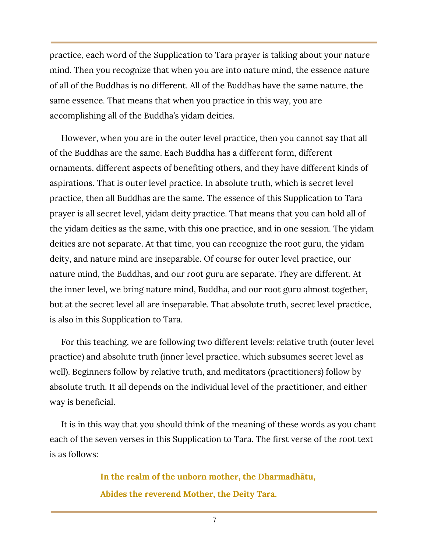practice, each word of the Supplication to Tara prayer is talking about your nature mind. Then you recognize that when you are into nature mind, the essence nature of all of the Buddhas is no different. All of the Buddhas have the same nature, the same essence. That means that when you practice in this way, you are accomplishing all of the Buddha's yidam deities.

However, when you are in the outer level practice, then you cannot say that all of the Buddhas are the same. Each Buddha has a different form, different ornaments, different aspects of benefiting others, and they have different kinds of aspirations. That is outer level practice. In absolute truth, which is secret level practice, then all Buddhas are the same. The essence of this Supplication to Tara prayer is all secret level, yidam deity practice. That means that you can hold all of the yidam deities as the same, with this one practice, and in one session. The yidam deities are not separate. At that time, you can recognize the root guru, the yidam deity, and nature mind are inseparable. Of course for outer level practice, our nature mind, the Buddhas, and our root guru are separate. They are different. At the inner level, we bring nature mind, Buddha, and our root guru almost together, but at the secret level all are inseparable. That absolute truth, secret level practice, is also in this Supplication to Tara.

For this teaching, we are following two different levels: relative truth (outer level practice) and absolute truth (inner level practice, which subsumes secret level as well). Beginners follow by relative truth, and meditators (practitioners) follow by absolute truth. It all depends on the individual level of the practitioner, and either way is beneficial.

It is in this way that you should think of the meaning of these words as you chant each of the seven verses in this Supplication to Tara. The first verse of the root text is as follows:

> **In the realm of the unborn mother, the Dharmadhātu, Abides the reverend Mother, the Deity Tara.**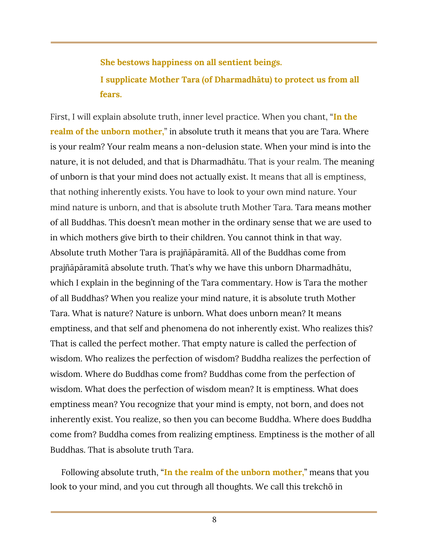### **She bestows happiness on all sentient beings. I supplicate Mother Tara (of Dharmadhātu) to protect us from all fears.**

First, I will explain absolute truth, inner level practice. When you chant, "**In the realm of the unborn mother,**" in absolute truth it means that you are Tara. Where is your realm? Your realm means a non-delusion state. When your mind is into the nature, it is not deluded, and that is Dharmadhātu. That is your realm. The meaning of unborn is that your mind does not actually exist. It means that all is emptiness, that nothing inherently exists. You have to look to your own mind nature. Your mind nature is unborn, and that is absolute truth Mother Tara. Tara means mother of all Buddhas. This doesn't mean mother in the ordinary sense that we are used to in which mothers give birth to their children. You cannot think in that way. Absolute truth Mother Tara is prajñāpāramitā. All of the Buddhas come from prajñāpāramitā absolute truth. That's why we have this unborn Dharmadhātu, which I explain in the beginning of the Tara commentary. How is Tara the mother of all Buddhas? When you realize your mind nature, it is absolute truth Mother Tara. What is nature? Nature is unborn. What does unborn mean? It means emptiness, and that self and phenomena do not inherently exist. Who realizes this? That is called the perfect mother. That empty nature is called the perfection of wisdom. Who realizes the perfection of wisdom? Buddha realizes the perfection of wisdom. Where do Buddhas come from? Buddhas come from the perfection of wisdom. What does the perfection of wisdom mean? It is emptiness. What does emptiness mean? You recognize that your mind is empty, not born, and does not inherently exist. You realize, so then you can become Buddha. Where does Buddha come from? Buddha comes from realizing emptiness. Emptiness is the mother of all Buddhas. That is absolute truth Tara.

Following absolute truth, "**In the realm of the unborn mother,**" means that you look to your mind, and you cut through all thoughts. We call this trekchö in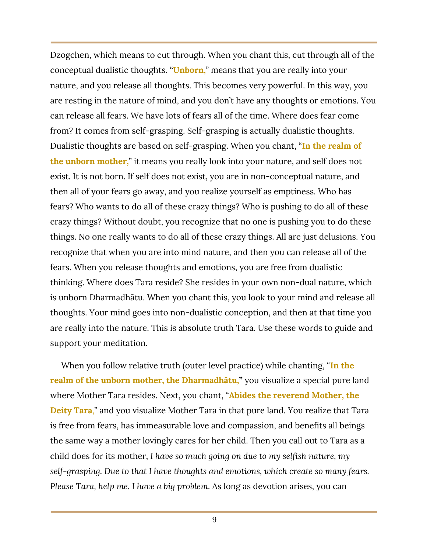Dzogchen, which means to cut through. When you chant this, cut through all of the conceptual dualistic thoughts. "**Unborn,**" means that you are really into your nature, and you release all thoughts. This becomes very powerful. In this way, you are resting in the nature of mind, and you don't have any thoughts or emotions. You can release all fears. We have lots of fears all of the time. Where does fear come from? It comes from self-grasping. Self-grasping is actually dualistic thoughts. Dualistic thoughts are based on self-grasping. When you chant, "**In the realm of the unborn mother,**" it means you really look into your nature, and self does not exist. It is not born. If self does not exist, you are in non-conceptual nature, and then all of your fears go away, and you realize yourself as emptiness. Who has fears? Who wants to do all of these crazy things? Who is pushing to do all of these crazy things? Without doubt, you recognize that no one is pushing you to do these things. No one really wants to do all of these crazy things. All are just delusions. You recognize that when you are into mind nature, and then you can release all of the fears. When you release thoughts and emotions, you are free from dualistic thinking. Where does Tara reside? She resides in your own non-dual nature, which is unborn Dharmadhātu. When you chant this, you look to your mind and release all thoughts. Your mind goes into non-dualistic conception, and then at that time you are really into the nature. This is absolute truth Tara. Use these words to guide and support your meditation.

When you follow relative truth (outer level practice) while chanting, "**In the realm of the unborn mother, the Dharmadhātu, "** you visualize a special pure land where Mother Tara resides. Next, you chant, "**Abides the reverend Mother, the Deity Tara**," and you visualize Mother Tara in that pure land. You realize that Tara is free from fears, has immeasurable love and compassion, and benefits all beings the same way a mother lovingly cares for her child. Then you call out to Tara as a child does for its mother, *I have so much going on due to my selfish nature, my self-grasping. Due to that I have thoughts and emotions, which create so many fears. Please Tara, help me. I have a big problem.* As long as devotion arises, you can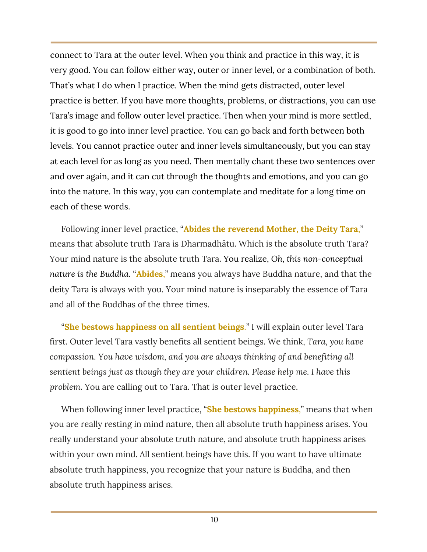connect to Tara at the outer level. When you think and practice in this way, it is very good. You can follow either way, outer or inner level, or a combination of both. That's what I do when I practice. When the mind gets distracted, outer level practice is better. If you have more thoughts, problems, or distractions, you can use Tara's image and follow outer level practice. Then when your mind is more settled, it is good to go into inner level practice. You can go back and forth between both levels. You cannot practice outer and inner levels simultaneously, but you can stay at each level for as long as you need. Then mentally chant these two sentences over and over again, and it can cut through the thoughts and emotions, and you can go into the nature. In this way, you can contemplate and meditate for a long time on each of these words.

Following inner level practice, "**Abides the reverend Mother, the Deity Tara**," means that absolute truth Tara is Dharmadhātu. Which is the absolute truth Tara? Your mind nature is the absolute truth Tara. You realize, *Oh, this non-conceptual nature is the Buddha*. "**Abides**," means you always have Buddha nature, and that the deity Tara is always with you. Your mind nature is inseparably the essence of Tara and all of the Buddhas of the three times.

"**She bestows happiness on all sentient beings**." I will explain outer level Tara first. Outer level Tara vastly benefits all sentient beings. We think, *Tara, you have compassion. You have wisdom, and you are always thinking of and benefiting all sentient beings just as though they are your children. Please help me. I have this problem.* You are calling out to Tara. That is outer level practice.

When following inner level practice, "**She bestows happiness**," means that when you are really resting in mind nature, then all absolute truth happiness arises. You really understand your absolute truth nature, and absolute truth happiness arises within your own mind. All sentient beings have this. If you want to have ultimate absolute truth happiness, you recognize that your nature is Buddha, and then absolute truth happiness arises.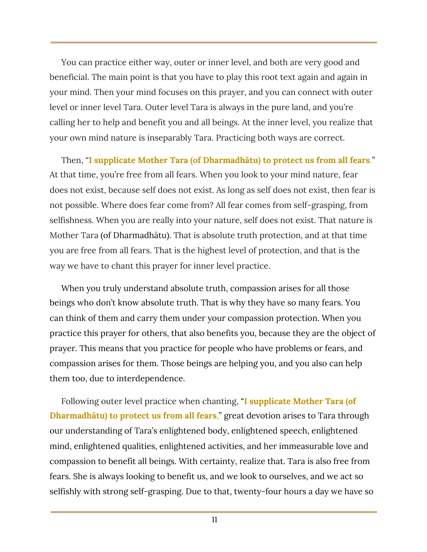You can practice either way, outer or inner level, and both are very good and beneficial. The main point is that you have to play this root text again and again in your mind. Then your mind focuses on this prayer, and you can connect with outer level or inner level Tara. Outer level Tara is always in the pure land, and you're calling her to help and benefit you and all beings. At the inner level, you realize that your own mind nature is inseparably Tara. Practicing both ways are correct.

Then, "**I supplicate Mother Tara (of Dharmadhātu) to protect us from all fears**." At that time, you're free from all fears. When you look to your mind nature, fear does not exist, because self does not exist. As long as self does not exist, then fear is not possible. Where does fear come from? All fear comes from self-grasping, from selfishness. When you are really into your nature, self does not exist. That nature is Mother Tara (of Dharmadhātu). That is absolute truth protection, and at that time you are free from all fears. That is the highest level of protection, and that is the way we have to chant this prayer for inner level practice.

When you truly understand absolute truth, compassion arises for all those beings who don't know absolute truth. That is why they have so many fears. You can think of them and carry them under your compassion protection. When you practice this prayer for others, that also benefits you, because they are the object of prayer. This means that you practice for people who have problems or fears, and compassion arises for them. Those beings are helping you, and you also can help them too, due to interdependence.

Following outer level practice when chanting, "**I supplicate Mother Tara (of Dharmadhātu) to protect us from all fears**," great devotion arises to Tara through our understanding of Tara's enlightened body, enlightened speech, enlightened mind, enlightened qualities, enlightened activities, and her immeasurable love and compassion to benefit all beings. With certainty, realize that. Tara is also free from fears. She is always looking to benefit us, and we look to ourselves, and we act so selfishly with strong self-grasping. Due to that, twenty-four hours a day we have so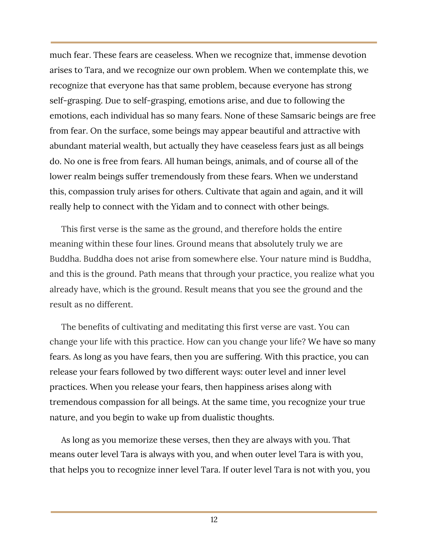much fear. These fears are ceaseless. When we recognize that, immense devotion arises to Tara, and we recognize our own problem. When we contemplate this, we recognize that everyone has that same problem, because everyone has strong self-grasping. Due to self-grasping, emotions arise, and due to following the emotions, each individual has so many fears. None of these Samsaric beings are free from fear. On the surface, some beings may appear beautiful and attractive with abundant material wealth, but actually they have ceaseless fears just as all beings do. No one is free from fears. All human beings, animals, and of course all of the lower realm beings suffer tremendously from these fears. When we understand this, compassion truly arises for others. Cultivate that again and again, and it will really help to connect with the Yidam and to connect with other beings.

This first verse is the same as the ground, and therefore holds the entire meaning within these four lines. Ground means that absolutely truly we are Buddha. Buddha does not arise from somewhere else. Your nature mind is Buddha, and this is the ground. Path means that through your practice, you realize what you already have, which is the ground. Result means that you see the ground and the result as no different.

The benefits of cultivating and meditating this first verse are vast. You can change your life with this practice. How can you change your life? We have so many fears. As long as you have fears, then you are suffering. With this practice, you can release your fears followed by two different ways: outer level and inner level practices. When you release your fears, then happiness arises along with tremendous compassion for all beings. At the same time, you recognize your true nature, and you begin to wake up from dualistic thoughts.

As long as you memorize these verses, then they are always with you. That means outer level Tara is always with you, and when outer level Tara is with you, that helps you to recognize inner level Tara. If outer level Tara is not with you, you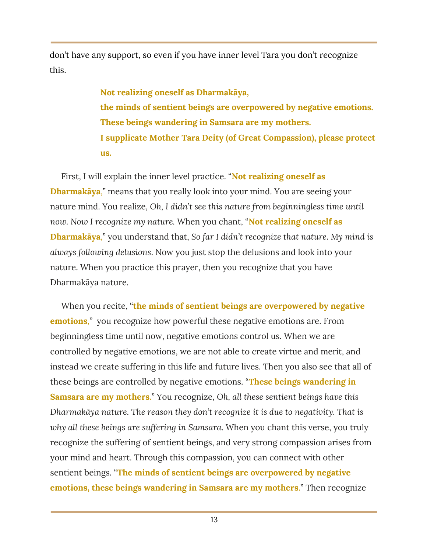don't have any support, so even if you have inner level Tara you don't recognize this.

> **Not realizing oneself as Dharmakāya, the minds of sentient beings are overpowered by negative emotions. These beings wandering in Samsara are my mothers. I supplicate Mother Tara Deity (of Great Compassion), please protect us.**

First, I will explain the inner level practice. "**Not realizing oneself as Dharmakāya**," means that you really look into your mind. You are seeing your nature mind. You realize, *Oh, I didn't see this nature from beginningless time until now. Now I recognize my nature.* When you chant, "**Not realizing oneself as Dharmakāya**," you understand that, *So far I didn't recognize that nature. My mind is always following delusions*. Now you just stop the delusions and look into your nature. When you practice this prayer, then you recognize that you have Dharmakāya nature.

When you recite, "**the minds of sentient beings are overpowered by negative emotions**," you recognize how powerful these negative emotions are. From beginningless time until now, negative emotions control us. When we are controlled by negative emotions, we are not able to create virtue and merit, and instead we create suffering in this life and future lives. Then you also see that all of these beings are controlled by negative emotions. "**These beings wandering in Samsara are my mothers**." You recognize, *Oh, all these sentient beings have this Dharmakāya nature. The reason they don't recognize it is due to negativity. That is why all these beings are suffering in Samsara.* When you chant this verse, you truly recognize the suffering of sentient beings, and very strong compassion arises from your mind and heart. Through this compassion, you can connect with other sentient beings. "**The minds of sentient beings are overpowered by negative emotions, these beings wandering in Samsara are my mothers**." Then recognize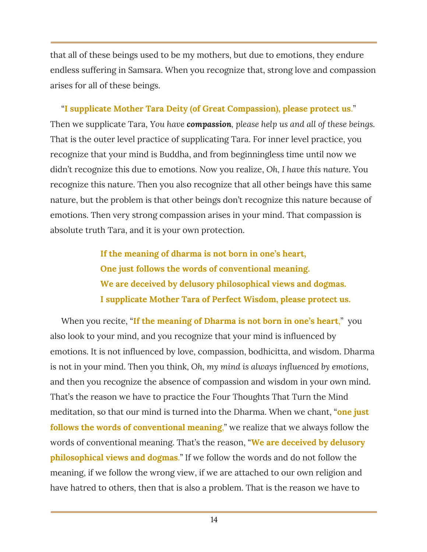that all of these beings used to be my mothers, but due to emotions, they endure endless suffering in Samsara. When you recognize that, strong love and compassion arises for all of these beings.

"**I supplicate Mother Tara Deity (of Great Compassion), please protect us**." Then we supplicate Tara, *You have compassion, please help us and all of these beings.* That is the outer level practice of supplicating Tara. For inner level practice, you recognize that your mind is Buddha, and from beginningless time until now we didn't recognize this due to emotions. Now you realize, *Oh, I have this nature*. You recognize this nature. Then you also recognize that all other beings have this same nature, but the problem is that other beings don't recognize this nature because of emotions. Then very strong compassion arises in your mind. That compassion is absolute truth Tara, and it is your own protection.

> **If the meaning of dharma is not born in one's heart, One just follows the words of conventional meaning. We are deceived by delusory philosophical views and dogmas. I supplicate Mother Tara of Perfect Wisdom, please protect us.**

When you recite, "**If the meaning of Dharma is not born in one's heart**," you also look to your mind, and you recognize that your mind is influenced by emotions. It is not influenced by love, compassion, bodhicitta, and wisdom. Dharma is not in your mind. Then you think, *Oh, my mind is always influenced by emotions*, and then you recognize the absence of compassion and wisdom in your own mind. That's the reason we have to practice the Four Thoughts That Turn the Mind meditation, so that our mind is turned into the Dharma. When we chant, "**one just follows the words of conventional meaning**," we realize that we always follow the words of conventional meaning. That's the reason, "**We are deceived by delusory philosophical views and dogmas**." If we follow the words and do not follow the meaning, if we follow the wrong view, if we are attached to our own religion and have hatred to others, then that is also a problem. That is the reason we have to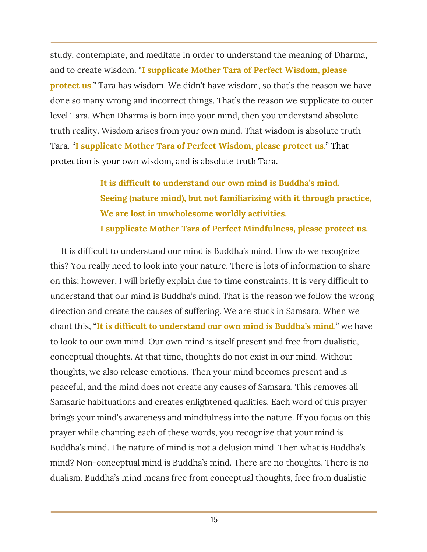study, contemplate, and meditate in order to understand the meaning of Dharma, and to create wisdom. "**I supplicate Mother Tara of Perfect Wisdom, please protect us**." Tara has wisdom. We didn't have wisdom, so that's the reason we have done so many wrong and incorrect things. That's the reason we supplicate to outer level Tara. When Dharma is born into your mind, then you understand absolute truth reality. Wisdom arises from your own mind. That wisdom is absolute truth Tara. "**I supplicate Mother Tara of Perfect Wisdom, please protect us**." That protection is your own wisdom, and is absolute truth Tara.

> **It is difficult to understand our own mind is Buddha's mind. Seeing (nature mind), but not familiarizing with it through practice, We are lost in unwholesome worldly activities. I supplicate Mother Tara of Perfect Mindfulness, please protect us.**

It is difficult to understand our mind is Buddha's mind. How do we recognize this? You really need to look into your nature. There is lots of information to share on this; however, I will briefly explain due to time constraints. It is very difficult to understand that our mind is Buddha's mind. That is the reason we follow the wrong direction and create the causes of suffering. We are stuck in Samsara. When we chant this, "**It is difficult to understand our own mind is Buddha's mind**," we have to look to our own mind. Our own mind is itself present and free from dualistic, conceptual thoughts. At that time, thoughts do not exist in our mind. Without thoughts, we also release emotions. Then your mind becomes present and is peaceful, and the mind does not create any causes of Samsara. This removes all Samsaric habituations and creates enlightened qualities. Each word of this prayer brings your mind's awareness and mindfulness into the nature. If you focus on this prayer while chanting each of these words, you recognize that your mind is Buddha's mind. The nature of mind is not a delusion mind. Then what is Buddha's mind? Non-conceptual mind is Buddha's mind. There are no thoughts. There is no dualism. Buddha's mind means free from conceptual thoughts, free from dualistic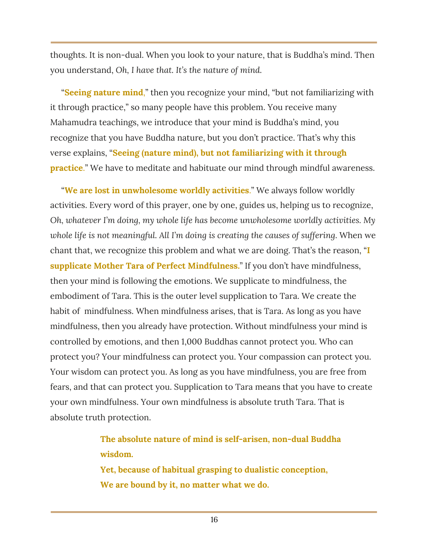thoughts. It is non-dual. When you look to your nature, that is Buddha's mind. Then you understand, *Oh, I have that. It's the nature of mind.*

"**Seeing nature mind**," then you recognize your mind, "but not familiarizing with it through practice," so many people have this problem. You receive many Mahamudra teachings, we introduce that your mind is Buddha's mind, you recognize that you have Buddha nature, but you don't practice. That's why this verse explains, "**Seeing (nature mind), but not familiarizing with it through practice**." We have to meditate and habituate our mind through mindful awareness.

"**We are lost in unwholesome worldly activities**." We always follow worldly activities. Every word of this prayer, one by one, guides us, helping us to recognize, *Oh, whatever I'm doing, my whole life has become unwholesome worldly activities. My whole life is not meaningful. All I'm doing is creating the causes of suffering*. When we chant that, we recognize this problem and what we are doing. That's the reason, "**I supplicate Mother Tara of Perfect Mindfulness.**" If you don't have mindfulness, then your mind is following the emotions. We supplicate to mindfulness, the embodiment of Tara. This is the outer level supplication to Tara. We create the habit of mindfulness. When mindfulness arises, that is Tara. As long as you have mindfulness, then you already have protection. Without mindfulness your mind is controlled by emotions, and then 1,000 Buddhas cannot protect you. Who can protect you? Your mindfulness can protect you. Your compassion can protect you. Your wisdom can protect you. As long as you have mindfulness, you are free from fears, and that can protect you. Supplication to Tara means that you have to create your own mindfulness. Your own mindfulness is absolute truth Tara. That is absolute truth protection.

> **The absolute nature of mind is self-arisen, non-dual Buddha wisdom.**

**Yet, because of habitual grasping to dualistic conception, We are bound by it, no matter what we do.**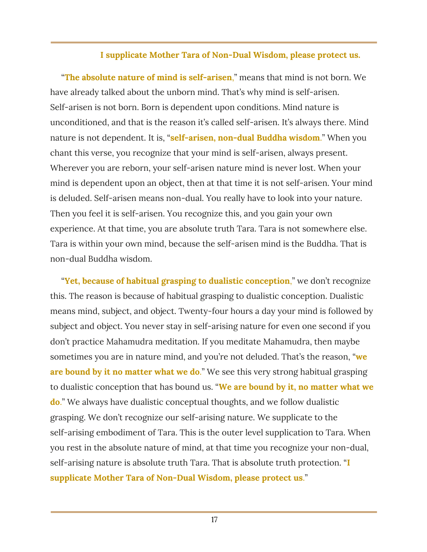#### **I supplicate Mother Tara of Non-Dual Wisdom, please protect us.**

"**The absolute nature of mind is self-arisen**," means that mind is not born. We have already talked about the unborn mind. That's why mind is self-arisen. Self-arisen is not born. Born is dependent upon conditions. Mind nature is unconditioned, and that is the reason it's called self-arisen. It's always there. Mind nature is not dependent. It is, "**self-arisen, non-dual Buddha wisdom**." When you chant this verse, you recognize that your mind is self-arisen, always present. Wherever you are reborn, your self-arisen nature mind is never lost. When your mind is dependent upon an object, then at that time it is not self-arisen. Your mind is deluded. Self-arisen means non-dual. You really have to look into your nature. Then you feel it is self-arisen. You recognize this, and you gain your own experience. At that time, you are absolute truth Tara. Tara is not somewhere else. Tara is within your own mind, because the self-arisen mind is the Buddha. That is non-dual Buddha wisdom.

"**Yet, because of habitual grasping to dualistic conception**," we don't recognize this. The reason is because of habitual grasping to dualistic conception. Dualistic means mind, subject, and object. Twenty-four hours a day your mind is followed by subject and object. You never stay in self-arising nature for even one second if you don't practice Mahamudra meditation. If you meditate Mahamudra, then maybe sometimes you are in nature mind, and you're not deluded. That's the reason, "**we are bound by it no matter what we do**." We see this very strong habitual grasping to dualistic conception that has bound us. "**We are bound by it, no matter what we do**." We always have dualistic conceptual thoughts, and we follow dualistic grasping. We don't recognize our self-arising nature. We supplicate to the self-arising embodiment of Tara. This is the outer level supplication to Tara. When you rest in the absolute nature of mind, at that time you recognize your non-dual, self-arising nature is absolute truth Tara. That is absolute truth protection. "**I supplicate Mother Tara of Non-Dual Wisdom, please protect us**."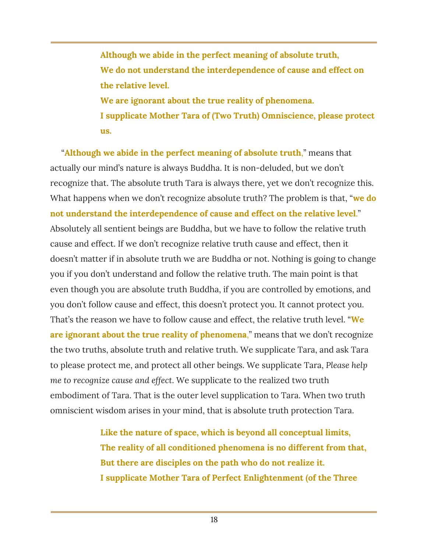**Although we abide in the perfect meaning of absolute truth, We do not understand the interdependence of cause and effect on the relative level. We are ignorant about the true reality of phenomena. I supplicate Mother Tara of (Two Truth) Omniscience, please protect us.**

"**Although we abide in the perfect meaning of absolute truth**," means that actually our mind's nature is always Buddha. It is non-deluded, but we don't recognize that. The absolute truth Tara is always there, yet we don't recognize this. What happens when we don't recognize absolute truth? The problem is that, "**we do not understand the interdependence of cause and effect on the relative level**." Absolutely all sentient beings are Buddha, but we have to follow the relative truth cause and effect. If we don't recognize relative truth cause and effect, then it doesn't matter if in absolute truth we are Buddha or not. Nothing is going to change you if you don't understand and follow the relative truth. The main point is that even though you are absolute truth Buddha, if you are controlled by emotions, and you don't follow cause and effect, this doesn't protect you. It cannot protect you. That's the reason we have to follow cause and effect, the relative truth level. "**We are ignorant about the true reality of phenomena**," means that we don't recognize the two truths, absolute truth and relative truth. We supplicate Tara, and ask Tara to please protect me, and protect all other beings. We supplicate Tara, *Please help me to recognize cause and effect*. We supplicate to the realized two truth embodiment of Tara. That is the outer level supplication to Tara. When two truth omniscient wisdom arises in your mind, that is absolute truth protection Tara.

> **Like the nature of space, which is beyond all conceptual limits, The reality of all conditioned phenomena is no different from that, But there are disciples on the path who do not realize it. I supplicate Mother Tara of Perfect Enlightenment (of the Three**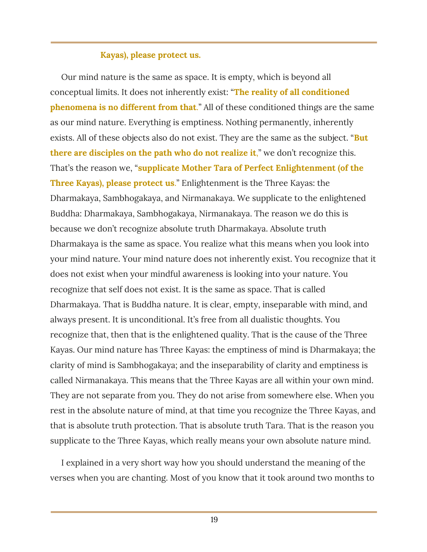#### **Kayas), please protect us.**

Our mind nature is the same as space. It is empty, which is beyond all conceptual limits. It does not inherently exist: "**The reality of all conditioned phenomena is no different from that**." All of these conditioned things are the same as our mind nature. Everything is emptiness. Nothing permanently, inherently exists. All of these objects also do not exist. They are the same as the subject. "**But there are disciples on the path who do not realize it**," we don't recognize this. That's the reason we, "**supplicate Mother Tara of Perfect Enlightenment (of the Three Kayas), please protect us**." Enlightenment is the Three Kayas: the Dharmakaya, Sambhogakaya, and Nirmanakaya. We supplicate to the enlightened Buddha: Dharmakaya, Sambhogakaya, Nirmanakaya. The reason we do this is because we don't recognize absolute truth Dharmakaya. Absolute truth Dharmakaya is the same as space. You realize what this means when you look into your mind nature. Your mind nature does not inherently exist. You recognize that it does not exist when your mindful awareness is looking into your nature. You recognize that self does not exist. It is the same as space. That is called Dharmakaya. That is Buddha nature. It is clear, empty, inseparable with mind, and always present. It is unconditional. It's free from all dualistic thoughts. You recognize that, then that is the enlightened quality. That is the cause of the Three Kayas. Our mind nature has Three Kayas: the emptiness of mind is Dharmakaya; the clarity of mind is Sambhogakaya; and the inseparability of clarity and emptiness is called Nirmanakaya. This means that the Three Kayas are all within your own mind. They are not separate from you. They do not arise from somewhere else. When you rest in the absolute nature of mind, at that time you recognize the Three Kayas, and that is absolute truth protection. That is absolute truth Tara. That is the reason you supplicate to the Three Kayas, which really means your own absolute nature mind.

I explained in a very short way how you should understand the meaning of the verses when you are chanting. Most of you know that it took around two months to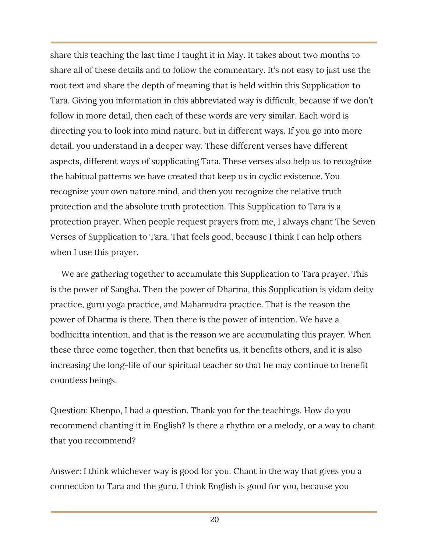share this teaching the last time I taught it in May. It takes about two months to share all of these details and to follow the commentary. It's not easy to just use the root text and share the depth of meaning that is held within this Supplication to Tara. Giving you information in this abbreviated way is difficult, because if we don't follow in more detail, then each of these words are very similar. Each word is directing you to look into mind nature, but in different ways. If you go into more detail, you understand in a deeper way. These different verses have different aspects, different ways of supplicating Tara. These verses also help us to recognize the habitual patterns we have created that keep us in cyclic existence. You recognize your own nature mind, and then you recognize the relative truth protection and the absolute truth protection. This Supplication to Tara is a protection prayer. When people request prayers from me, I always chant The Seven Verses of Supplication to Tara. That feels good, because I think I can help others when I use this prayer.

We are gathering together to accumulate this Supplication to Tara prayer. This is the power of Sangha. Then the power of Dharma, this Supplication is yidam deity practice, guru yoga practice, and Mahamudra practice. That is the reason the power of Dharma is there. Then there is the power of intention. We have a bodhicitta intention, and that is the reason we are accumulating this prayer. When these three come together, then that benefits us, it benefits others, and it is also increasing the long-life of our spiritual teacher so that he may continue to benefit countless beings.

Question: Khenpo, I had a question. Thank you for the teachings. How do you recommend chanting it in English? Is there a rhythm or a melody, or a way to chant that you recommend?

Answer: I think whichever way is good for you. Chant in the way that gives you a connection to Tara and the guru. I think English is good for you, because you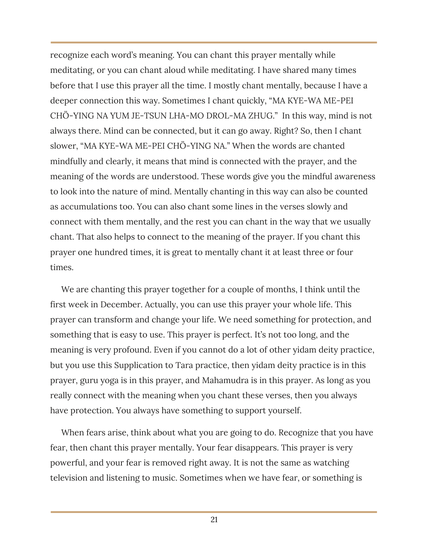recognize each word's meaning. You can chant this prayer mentally while meditating, or you can chant aloud while meditating. I have shared many times before that I use this prayer all the time. I mostly chant mentally, because I have a deeper connection this way. Sometimes I chant quickly, "MA KYE-WA ME-PEI CHÖ-YING NA YUM JE-TSUN LHA-MO DROL-MA ZHUG." In this way, mind is not always there. Mind can be connected, but it can go away. Right? So, then I chant slower, "MA KYE-WA ME-PEI CHÖ-YING NA." When the words are chanted mindfully and clearly, it means that mind is connected with the prayer, and the meaning of the words are understood. These words give you the mindful awareness to look into the nature of mind. Mentally chanting in this way can also be counted as accumulations too. You can also chant some lines in the verses slowly and connect with them mentally, and the rest you can chant in the way that we usually chant. That also helps to connect to the meaning of the prayer. If you chant this prayer one hundred times, it is great to mentally chant it at least three or four times.

We are chanting this prayer together for a couple of months, I think until the first week in December. Actually, you can use this prayer your whole life. This prayer can transform and change your life. We need something for protection, and something that is easy to use. This prayer is perfect. It's not too long, and the meaning is very profound. Even if you cannot do a lot of other yidam deity practice, but you use this Supplication to Tara practice, then yidam deity practice is in this prayer, guru yoga is in this prayer, and Mahamudra is in this prayer. As long as you really connect with the meaning when you chant these verses, then you always have protection. You always have something to support yourself.

When fears arise, think about what you are going to do. Recognize that you have fear, then chant this prayer mentally. Your fear disappears. This prayer is very powerful, and your fear is removed right away. It is not the same as watching television and listening to music. Sometimes when we have fear, or something is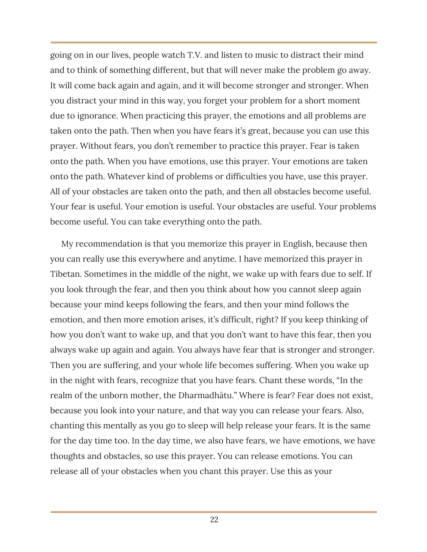going on in our lives, people watch T.V. and listen to music to distract their mind and to think of something different, but that will never make the problem go away. It will come back again and again, and it will become stronger and stronger. When you distract your mind in this way, you forget your problem for a short moment due to ignorance. When practicing this prayer, the emotions and all problems are taken onto the path. Then when you have fears it's great, because you can use this prayer. Without fears, you don't remember to practice this prayer. Fear is taken onto the path. When you have emotions, use this prayer. Your emotions are taken onto the path. Whatever kind of problems or difficulties you have, use this prayer. All of your obstacles are taken onto the path, and then all obstacles become useful. Your fear is useful. Your emotion is useful. Your obstacles are useful. Your problems become useful. You can take everything onto the path.

My recommendation is that you memorize this prayer in English, because then you can really use this everywhere and anytime. I have memorized this prayer in Tibetan. Sometimes in the middle of the night, we wake up with fears due to self. If you look through the fear, and then you think about how you cannot sleep again because your mind keeps following the fears, and then your mind follows the emotion, and then more emotion arises, it's difficult, right? If you keep thinking of how you don't want to wake up, and that you don't want to have this fear, then you always wake up again and again. You always have fear that is stronger and stronger. Then you are suffering, and your whole life becomes suffering. When you wake up in the night with fears, recognize that you have fears. Chant these words, "In the realm of the unborn mother, the Dharmadhātu." Where is fear? Fear does not exist, because you look into your nature, and that way you can release your fears. Also, chanting this mentally as you go to sleep will help release your fears. It is the same for the day time too. In the day time, we also have fears, we have emotions, we have thoughts and obstacles, so use this prayer. You can release emotions. You can release all of your obstacles when you chant this prayer. Use this as your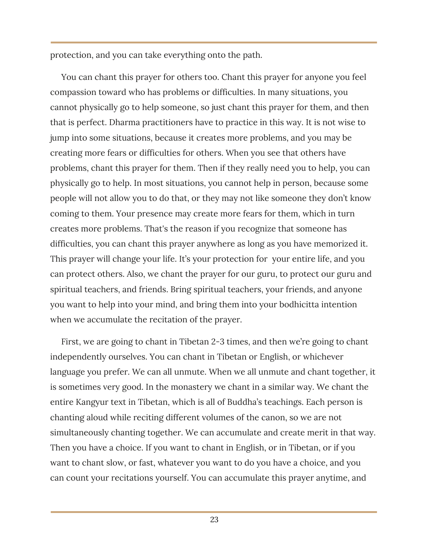protection, and you can take everything onto the path.

You can chant this prayer for others too. Chant this prayer for anyone you feel compassion toward who has problems or difficulties. In many situations, you cannot physically go to help someone, so just chant this prayer for them, and then that is perfect. Dharma practitioners have to practice in this way. It is not wise to jump into some situations, because it creates more problems, and you may be creating more fears or difficulties for others. When you see that others have problems, chant this prayer for them. Then if they really need you to help, you can physically go to help. In most situations, you cannot help in person, because some people will not allow you to do that, or they may not like someone they don't know coming to them. Your presence may create more fears for them, which in turn creates more problems. That's the reason if you recognize that someone has difficulties, you can chant this prayer anywhere as long as you have memorized it. This prayer will change your life. It's your protection for your entire life, and you can protect others. Also, we chant the prayer for our guru, to protect our guru and spiritual teachers, and friends. Bring spiritual teachers, your friends, and anyone you want to help into your mind, and bring them into your bodhicitta intention when we accumulate the recitation of the prayer.

First, we are going to chant in Tibetan 2-3 times, and then we're going to chant independently ourselves. You can chant in Tibetan or English, or whichever language you prefer. We can all unmute. When we all unmute and chant together, it is sometimes very good. In the monastery we chant in a similar way. We chant the entire Kangyur text in Tibetan, which is all of Buddha's teachings. Each person is chanting aloud while reciting different volumes of the canon, so we are not simultaneously chanting together. We can accumulate and create merit in that way. Then you have a choice. If you want to chant in English, or in Tibetan, or if you want to chant slow, or fast, whatever you want to do you have a choice, and you can count your recitations yourself. You can accumulate this prayer anytime, and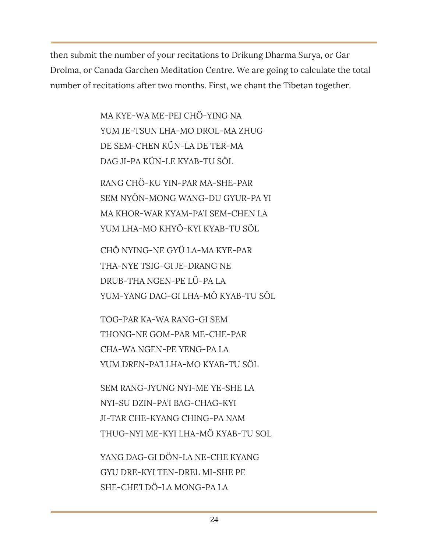then submit the number of your recitations to Drikung Dharma Surya, or Gar Drolma, or Canada Garchen Meditation Centre. We are going to calculate the total number of recitations after two months. First, we chant the Tibetan together.

> MA KYE-WA ME-PEI CHÖ-YING NA YUM JE-TSUN LHA-MO DROL-MA ZHUG DE SEM-CHEN KÜN-LA DE TER-MA DAG JI-PA KÜN-LE KYAB-TU SÖL

RANG CHÖ-KU YIN-PAR MA-SHE-PAR SEM NYÖN-MONG WANG-DU GYUR-PA YI MA KHOR-WAR KYAM-PA'I SEM-CHEN LA YUM LHA-MO KHYÖ-KYI KYAB-TU SÖL

CHÖ NYING-NE GYÜ LA-MA KYE-PAR THA-NYE TSIG-GI JE-DRANG NE DRUB-THA NGEN-PE LÜ-PA LA YUM-YANG DAG-GI LHA-MÖ KYAB-TU SÖL

TOG-PAR KA-WA RANG-GI SEM THONG-NE GOM-PAR ME-CHE-PAR CHA-WA NGEN-PE YENG-PA LA YUM DREN-PA'I LHA-MO KYAB-TU SÖL

SEM RANG-JYUNG NYI-ME YE-SHE LA NYI-SU DZIN-PA'I BAG-CHAG-KYI JI-TAR CHE-KYANG CHING-PA NAM THUG-NYI ME-KYI LHA-MÖ KYAB-TU SOL

YANG DAG-GI DÖN-LA NE-CHE KYANG GYU DRE-KYI TEN-DREL MI-SHE PE SHE-CHE'I DÖ-LA MONG-PA LA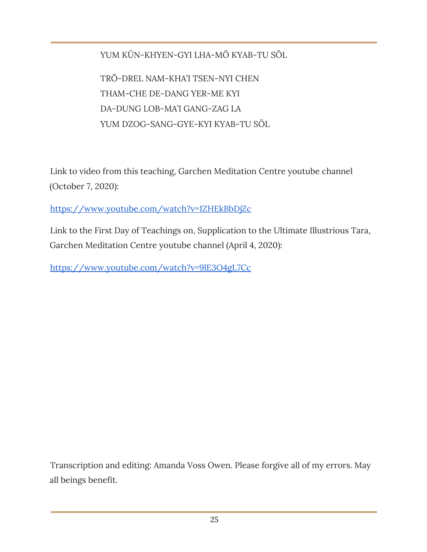#### YUM KÜN-KHYEN-GYI LHA-MÖ KYAB-TU SÖL

TRÖ-DREL NAM-KHA'I TSEN-NYI CHEN THAM-CHE DE-DANG YER-ME KYI DA-DUNG LOB-MA'I GANG-ZAG LA YUM DZOG-SANG-GYE-KYI KYAB-TU SÖL

Link to video from this teaching, Garchen Meditation Centre youtube channel (October 7, 2020):

<https://www.youtube.com/watch?v=1ZHEkBbDjZc>

Link to the First Day of Teachings on, Supplication to the Ultimate Illustrious Tara, Garchen Meditation Centre youtube channel (April 4, 2020):

<https://www.youtube.com/watch?v=9lE3O4gL7Cc>

Transcription and editing: Amanda Voss Owen. Please forgive all of my errors. May all beings benefit.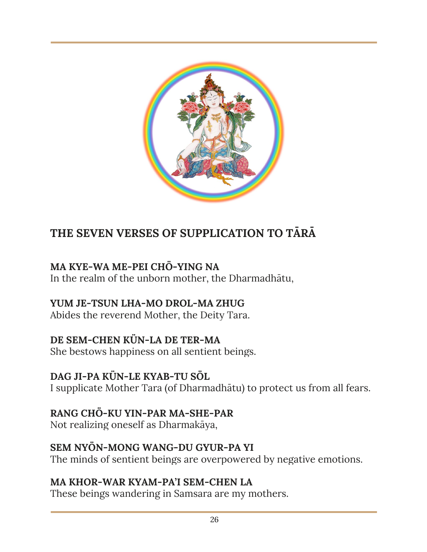

## **THE SEVEN VERSES OF SUPPLICATION TO TĀRĀ**

#### **MA KYE-WA ME-PEI CHÖ-YING NA**

In the realm of the unborn mother, the Dharmadhātu,

#### **YUM JE-TSUN LHA-MO DROL-MA ZHUG**

Abides the reverend Mother, the Deity Tara.

#### **DE SEM-CHEN KÜN-LA DE TER-MA**

She bestows happiness on all sentient beings.

#### **DAG JI-PA KÜN-LE KYAB-TU SÖL**

I supplicate Mother Tara (of Dharmadhātu) to protect us from all fears.

#### **RANG CHÖ-KU YIN-PAR MA-SHE-PAR**

Not realizing oneself as Dharmakāya,

#### **SEM NYÖN-MONG WANG-DU GYUR-PA YI**

The minds of sentient beings are overpowered by negative emotions.

#### **MA KHOR-WAR KYAM-PA'I SEM-CHEN LA**

These beings wandering in Samsara are my mothers.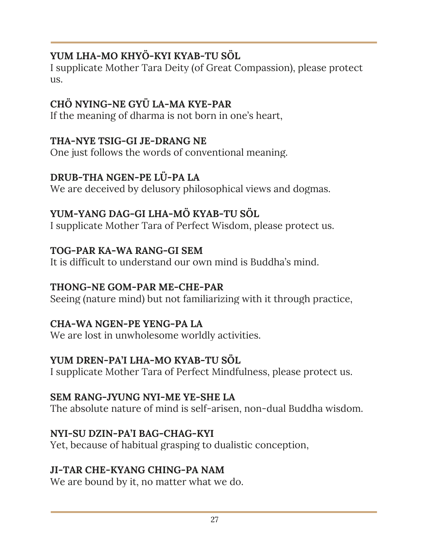### **YUM LHA-MO KHYÖ-KYI KYAB-TU SÖL**

I supplicate Mother Tara Deity (of Great Compassion), please protect us.

### **CHÖ NYING-NE GYÜ LA-MA KYE-PAR**

If the meaning of dharma is not born in one's heart,

#### **THA-NYE TSIG-GI JE-DRANG NE**

One just follows the words of conventional meaning.

#### **DRUB-THA NGEN-PE LÜ-PA LA**

We are deceived by delusory philosophical views and dogmas.

### **YUM-YANG DAG-GI LHA-MÖ KYAB-TU SÖL**

I supplicate Mother Tara of Perfect Wisdom, please protect us.

#### **TOG-PAR KA-WA RANG-GI SEM**

It is difficult to understand our own mind is Buddha's mind.

#### **THONG-NE GOM-PAR ME-CHE-PAR**

Seeing (nature mind) but not familiarizing with it through practice,

#### **CHA-WA NGEN-PE YENG-PA LA**

We are lost in unwholesome worldly activities.

#### **YUM DREN-PA'I LHA-MO KYAB-TU SÖL**

I supplicate Mother Tara of Perfect Mindfulness, please protect us.

#### **SEM RANG-JYUNG NYI-ME YE-SHE LA**

The absolute nature of mind is self-arisen, non-dual Buddha wisdom.

#### **NYI-SU DZIN-PA'I BAG-CHAG-KYI**

Yet, because of habitual grasping to dualistic conception,

#### **JI-TAR CHE-KYANG CHING-PA NAM**

We are bound by it, no matter what we do.